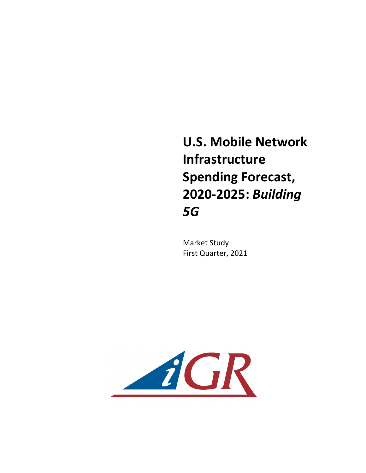**U.S. Mobile Network Infrastructure Spending Forecast, 2020-2025:** *Building 5G* 

**Market Study** First Quarter, 2021

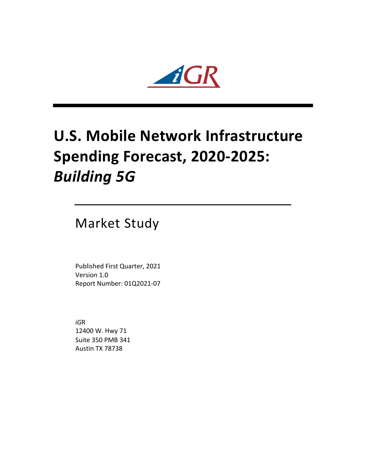

# **U.S. Mobile Network Infrastructure Spending Forecast, 2020-2025: Building 5G**

Market Study

Published First Quarter, 2021 Version 1.0 Report Number: 01Q2021-07

*iG*R 12400 W. Hwy 71 Suite 350 PMB 341 Austin TX 78738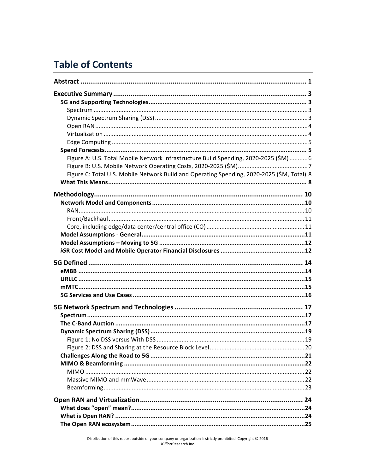## **Table of Contents**

| Figure A: U.S. Total Mobile Network Infrastructure Build Spending, 2020-2025 (\$M) 6       |  |
|--------------------------------------------------------------------------------------------|--|
| Figure C: Total U.S. Mobile Network Build and Operating Spending, 2020-2025 (\$M, Total) 8 |  |
|                                                                                            |  |
|                                                                                            |  |
|                                                                                            |  |
|                                                                                            |  |
|                                                                                            |  |
|                                                                                            |  |
|                                                                                            |  |
|                                                                                            |  |
|                                                                                            |  |
|                                                                                            |  |
|                                                                                            |  |
|                                                                                            |  |
|                                                                                            |  |
|                                                                                            |  |
|                                                                                            |  |
|                                                                                            |  |
|                                                                                            |  |
|                                                                                            |  |
|                                                                                            |  |
|                                                                                            |  |
|                                                                                            |  |
|                                                                                            |  |
|                                                                                            |  |
|                                                                                            |  |
|                                                                                            |  |
|                                                                                            |  |
|                                                                                            |  |
|                                                                                            |  |
|                                                                                            |  |
|                                                                                            |  |
|                                                                                            |  |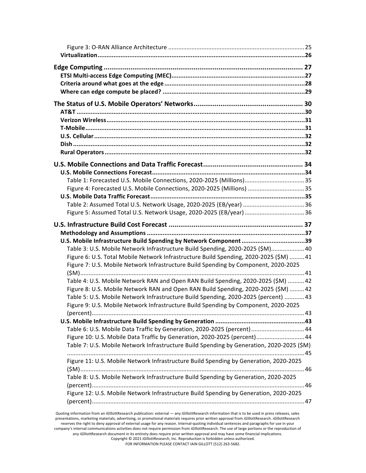| Table 1: Forecasted U.S. Mobile Connections, 2020-2025 (Millions)35                                                                                                          |  |
|------------------------------------------------------------------------------------------------------------------------------------------------------------------------------|--|
| Figure 4: Forecasted U.S. Mobile Connections, 2020-2025 (Millions) 35                                                                                                        |  |
|                                                                                                                                                                              |  |
|                                                                                                                                                                              |  |
| Figure 5: Assumed Total U.S. Network Usage, 2020-2025 (EB/year) 36                                                                                                           |  |
|                                                                                                                                                                              |  |
|                                                                                                                                                                              |  |
| U.S. Mobile Infrastructure Build Spending by Network Component 39                                                                                                            |  |
| Table 3: U.S. Mobile Network Infrastructure Build Spending, 2020-2025 (\$M)40                                                                                                |  |
| Figure 6: U.S. Total Mobile Network Infrastructure Build Spending, 2020-2025 (\$M) 41<br>Figure 7: U.S. Mobile Network Infrastructure Build Spending by Component, 2020-2025 |  |
|                                                                                                                                                                              |  |
| Table 4: U.S. Mobile Network RAN and Open RAN Build Spending, 2020-2025 (\$M) 42                                                                                             |  |
| Figure 8: U.S. Mobile Network RAN and Open RAN Build Spending, 2020-2025 (\$M) 42                                                                                            |  |
| Table 5: U.S. Mobile Network Infrastructure Build Spending, 2020-2025 (percent) 43                                                                                           |  |
| Figure 9: U.S. Mobile Network Infrastructure Build Spending by Component, 2020-2025                                                                                          |  |
|                                                                                                                                                                              |  |
|                                                                                                                                                                              |  |
| Table 6: U.S. Mobile Data Traffic by Generation, 2020-2025 (percent)44                                                                                                       |  |
| Figure 10: U.S. Mobile Data Traffic by Generation, 2020-2025 (percent)44                                                                                                     |  |
| Table 7: U.S. Mobile Network Infrastructure Build Spending by Generation, 2020-2025 (\$M)                                                                                    |  |
| Figure 11: U.S. Mobile Network Infrastructure Build Spending by Generation, 2020-2025                                                                                        |  |
|                                                                                                                                                                              |  |
| Table 8: U.S. Mobile Network Infrastructure Build Spending by Generation, 2020-2025                                                                                          |  |
|                                                                                                                                                                              |  |
| Figure 12: U.S. Mobile Network Infrastructure Build Spending by Generation, 2020-2025                                                                                        |  |
|                                                                                                                                                                              |  |
|                                                                                                                                                                              |  |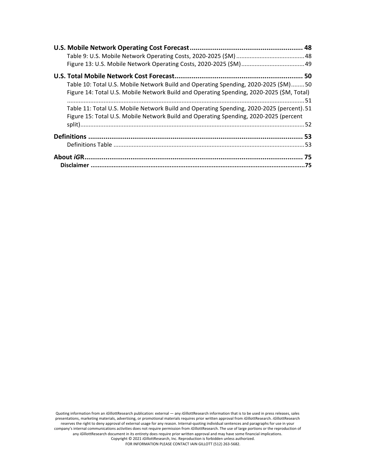| Table 10: Total U.S. Mobile Network Build and Operating Spending, 2020-2025 (\$M)50       |  |
|-------------------------------------------------------------------------------------------|--|
| Figure 14: Total U.S. Mobile Network Build and Operating Spending, 2020-2025 (\$M, Total) |  |
|                                                                                           |  |
| Table 11: Total U.S. Mobile Network Build and Operating Spending, 2020-2025 (percent). 51 |  |
| Figure 15: Total U.S. Mobile Network Build and Operating Spending, 2020-2025 (percent     |  |
|                                                                                           |  |
|                                                                                           |  |
|                                                                                           |  |
|                                                                                           |  |
|                                                                                           |  |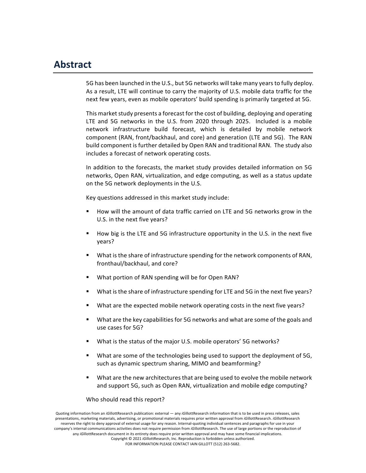### **Abstract**

5G has been launched in the U.S., but 5G networks will take many years to fully deploy. As a result, LTE will continue to carry the majority of U.S. mobile data traffic for the next few years, even as mobile operators' build spending is primarily targeted at 5G.

This market study presents a forecast for the cost of building, deploying and operating LTE and 5G networks in the U.S. from 2020 through 2025. Included is a mobile network infrastructure build forecast, which is detailed by mobile network component (RAN, front/backhaul, and core) and generation (LTE and 5G). The RAN build component is further detailed by Open RAN and traditional RAN. The study also includes a forecast of network operating costs.

In addition to the forecasts, the market study provides detailed information on 5G networks, Open RAN, virtualization, and edge computing, as well as a status update on the 5G network deployments in the U.S.

Key questions addressed in this market study include:

- How will the amount of data traffic carried on LTE and 5G networks grow in the U.S. in the next five years?
- How big is the LTE and 5G infrastructure opportunity in the U.S. in the next five years?
- What is the share of infrastructure spending for the network components of RAN, fronthaul/backhaul, and core?
- What portion of RAN spending will be for Open RAN?
- What is the share of infrastructure spending for LTE and 5G in the next five years?
- What are the expected mobile network operating costs in the next five years?
- What are the key capabilities for 5G networks and what are some of the goals and use cases for 5G?
- What is the status of the major U.S. mobile operators' 5G networks?
- What are some of the technologies being used to support the deployment of 5G, such as dynamic spectrum sharing, MIMO and beamforming?
- What are the new architectures that are being used to evolve the mobile network and support 5G, such as Open RAN, virtualization and mobile edge computing?

#### Who should read this report?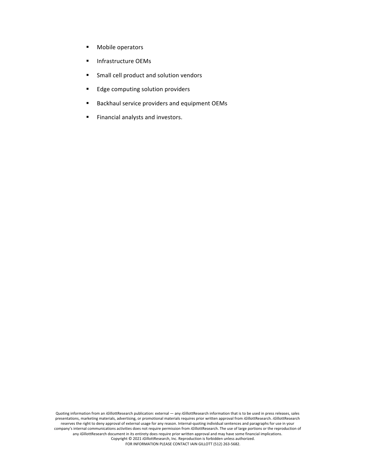- **•** Mobile operators
- Infrastructure OEMs
- **■** Small cell product and solution vendors
- Edge computing solution providers
- Backhaul service providers and equipment OEMs
- **Financial analysts and investors.**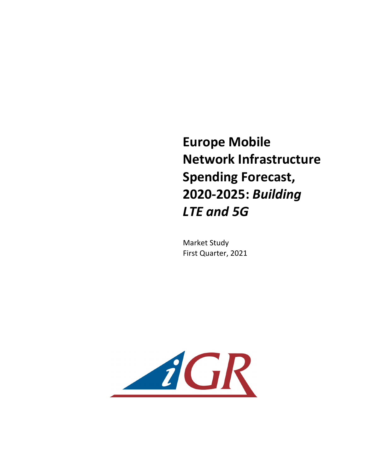**Europe Mobile Network Infrastructure Spending Forecast, 2020-2025:** *Building LTE and 5G*

**Market Study** First Quarter, 2021

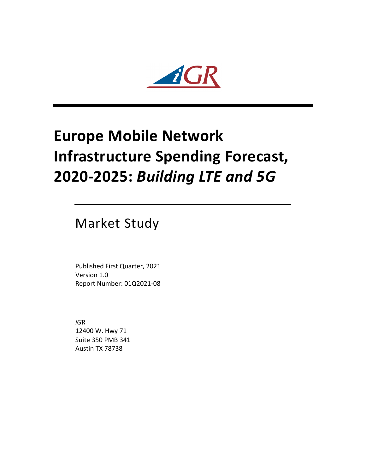

# **Europe Mobile Network Infrastructure Spending Forecast, 2020-2025:** *Building LTE and 5G*

**Market Study** 

Published First Quarter, 2021 Version 1.0 Report Number: 01Q2021-08

*iG*R 12400 W. Hwy 71 Suite 350 PMB 341 Austin TX 78738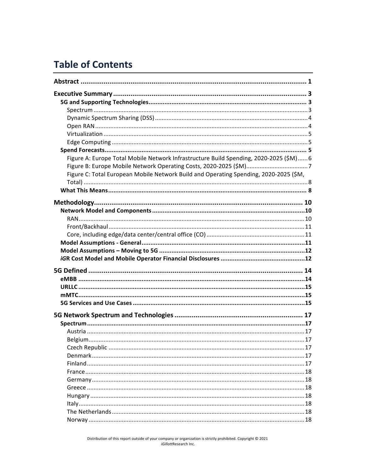## **Table of Contents**

| Figure A: Europe Total Mobile Network Infrastructure Build Spending, 2020-2025 (\$M) 6 |  |
|----------------------------------------------------------------------------------------|--|
|                                                                                        |  |
| Figure C: Total European Mobile Network Build and Operating Spending, 2020-2025 (\$M,  |  |
|                                                                                        |  |
|                                                                                        |  |
|                                                                                        |  |
|                                                                                        |  |
|                                                                                        |  |
|                                                                                        |  |
|                                                                                        |  |
|                                                                                        |  |
|                                                                                        |  |
|                                                                                        |  |
|                                                                                        |  |
|                                                                                        |  |
|                                                                                        |  |
|                                                                                        |  |
|                                                                                        |  |
|                                                                                        |  |
|                                                                                        |  |
|                                                                                        |  |
|                                                                                        |  |
|                                                                                        |  |
|                                                                                        |  |
|                                                                                        |  |
|                                                                                        |  |
|                                                                                        |  |
|                                                                                        |  |
|                                                                                        |  |
|                                                                                        |  |
|                                                                                        |  |
|                                                                                        |  |
|                                                                                        |  |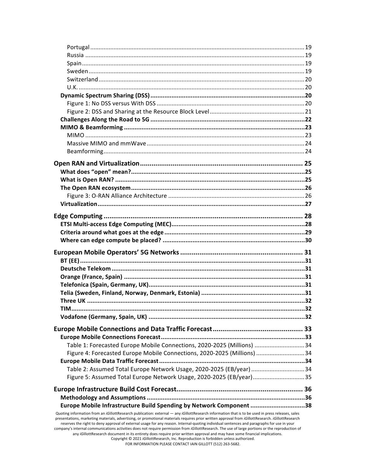| Table 1: Forecasted Europe Mobile Connections, 2020-2025 (Millions) 34                                                                                                                                                                                                                                                                                                                                                                                                                                                                                                                                                                                                                                                                  |  |
|-----------------------------------------------------------------------------------------------------------------------------------------------------------------------------------------------------------------------------------------------------------------------------------------------------------------------------------------------------------------------------------------------------------------------------------------------------------------------------------------------------------------------------------------------------------------------------------------------------------------------------------------------------------------------------------------------------------------------------------------|--|
| Figure 4: Forecasted Europe Mobile Connections, 2020-2025 (Millions) 34                                                                                                                                                                                                                                                                                                                                                                                                                                                                                                                                                                                                                                                                 |  |
|                                                                                                                                                                                                                                                                                                                                                                                                                                                                                                                                                                                                                                                                                                                                         |  |
| Table 2: Assumed Total Europe Network Usage, 2020-2025 (EB/year) 34                                                                                                                                                                                                                                                                                                                                                                                                                                                                                                                                                                                                                                                                     |  |
| Figure 5: Assumed Total Europe Network Usage, 2020-2025 (EB/year)35                                                                                                                                                                                                                                                                                                                                                                                                                                                                                                                                                                                                                                                                     |  |
|                                                                                                                                                                                                                                                                                                                                                                                                                                                                                                                                                                                                                                                                                                                                         |  |
|                                                                                                                                                                                                                                                                                                                                                                                                                                                                                                                                                                                                                                                                                                                                         |  |
| Europe Mobile Infrastructure Build Spending by Network Component 38                                                                                                                                                                                                                                                                                                                                                                                                                                                                                                                                                                                                                                                                     |  |
| Quoting information from an iGillottResearch publication: external - any iGillottResearch information that is to be used in press releases, sales<br>presentations, marketing materials, advertising, or promotional materials requires prior written approval from iGillottResearch. iGillottResearch<br>reserves the right to deny approval of external usage for any reason. Internal-quoting individual sentences and paragraphs for use in your<br>company's internal communications activities does not require permission from iGillottResearch. The use of large portions or the reproduction of<br>any iGillottResearch document in its entirety does require prior written approval and may have some financial implications. |  |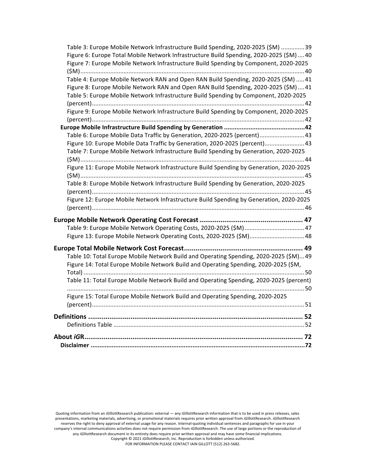| Table 3: Europe Mobile Network Infrastructure Build Spending, 2020-2025 (\$M) 39         |  |
|------------------------------------------------------------------------------------------|--|
| Figure 6: Europe Total Mobile Network Infrastructure Build Spending, 2020-2025 (\$M)  40 |  |
| Figure 7: Europe Mobile Network Infrastructure Build Spending by Component, 2020-2025    |  |
|                                                                                          |  |
| Table 4: Europe Mobile Network RAN and Open RAN Build Spending, 2020-2025 (\$M)  41      |  |
| Figure 8: Europe Mobile Network RAN and Open RAN Build Spending, 2020-2025 (\$M)41       |  |
| Table 5: Europe Mobile Network Infrastructure Build Spending by Component, 2020-2025     |  |
|                                                                                          |  |
| Figure 9: Europe Mobile Network Infrastructure Build Spending by Component, 2020-2025    |  |
|                                                                                          |  |
|                                                                                          |  |
| Table 6: Europe Mobile Data Traffic by Generation, 2020-2025 (percent)43                 |  |
| Figure 10: Europe Mobile Data Traffic by Generation, 2020-2025 (percent)43               |  |
| Table 7: Europe Mobile Network Infrastructure Build Spending by Generation, 2020-2025    |  |
|                                                                                          |  |
| Figure 11: Europe Mobile Network Infrastructure Build Spending by Generation, 2020-2025  |  |
|                                                                                          |  |
| Table 8: Europe Mobile Network Infrastructure Build Spending by Generation, 2020-2025    |  |
|                                                                                          |  |
| Figure 12: Europe Mobile Network Infrastructure Build Spending by Generation, 2020-2025  |  |
|                                                                                          |  |
|                                                                                          |  |
| Table 9: Europe Mobile Network Operating Costs, 2020-2025 (\$M)47                        |  |
| Figure 13: Europe Mobile Network Operating Costs, 2020-2025 (\$M)48                      |  |
|                                                                                          |  |
|                                                                                          |  |
| Table 10: Total Europe Mobile Network Build and Operating Spending, 2020-2025 (\$M)49    |  |
| Figure 14: Total Europe Mobile Network Build and Operating Spending, 2020-2025 (\$M,     |  |
|                                                                                          |  |
| Table 11: Total Europe Mobile Network Build and Operating Spending, 2020-2025 (percent)  |  |
|                                                                                          |  |
| Figure 15: Total Europe Mobile Network Build and Operating Spending, 2020-2025           |  |
|                                                                                          |  |
|                                                                                          |  |
|                                                                                          |  |
|                                                                                          |  |
|                                                                                          |  |
|                                                                                          |  |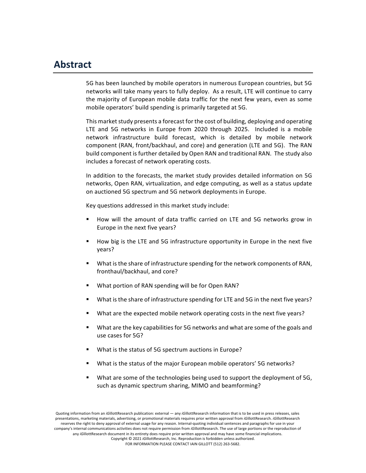#### **Abstract**

5G has been launched by mobile operators in numerous European countries, but 5G networks will take many years to fully deploy. As a result, LTE will continue to carry the majority of European mobile data traffic for the next few years, even as some mobile operators' build spending is primarily targeted at 5G.

This market study presents a forecast for the cost of building, deploying and operating LTE and 5G networks in Europe from 2020 through 2025. Included is a mobile network infrastructure build forecast, which is detailed by mobile network component (RAN, front/backhaul, and core) and generation (LTE and 5G). The RAN build component is further detailed by Open RAN and traditional RAN. The study also includes a forecast of network operating costs.

In addition to the forecasts, the market study provides detailed information on 5G networks, Open RAN, virtualization, and edge computing, as well as a status update on auctioned 5G spectrum and 5G network deployments in Europe.

Key questions addressed in this market study include:

- How will the amount of data traffic carried on LTE and 5G networks grow in Europe in the next five years?
- How big is the LTE and 5G infrastructure opportunity in Europe in the next five years?
- What is the share of infrastructure spending for the network components of RAN, fronthaul/backhaul, and core?
- What portion of RAN spending will be for Open RAN?
- What is the share of infrastructure spending for LTE and 5G in the next five years?
- What are the expected mobile network operating costs in the next five years?
- What are the key capabilities for 5G networks and what are some of the goals and use cases for 5G?
- What is the status of 5G spectrum auctions in Europe?
- What is the status of the major European mobile operators' 5G networks?
- What are some of the technologies being used to support the deployment of 5G, such as dynamic spectrum sharing, MIMO and beamforming?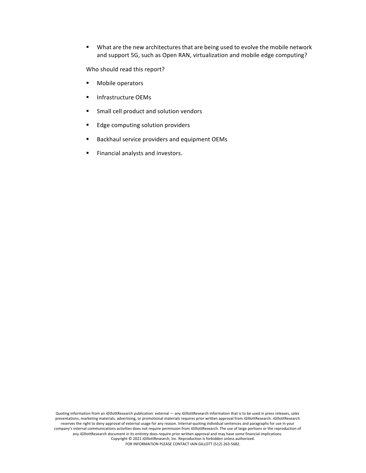■ What are the new architectures that are being used to evolve the mobile network and support 5G, such as Open RAN, virtualization and mobile edge computing?

Who should read this report?

- Mobile operators
- Infrastructure OEMs
- **EXECUTE:** Small cell product and solution vendors
- Edge computing solution providers
- Backhaul service providers and equipment OEMs
- **Financial analysts and investors.**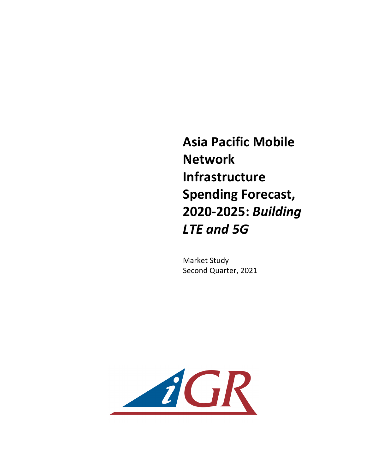**Asia Pacific Mobile Network Infrastructure Spending Forecast, 2020-2025:** *Building LTE and 5G*

**Market Study** Second Quarter, 2021

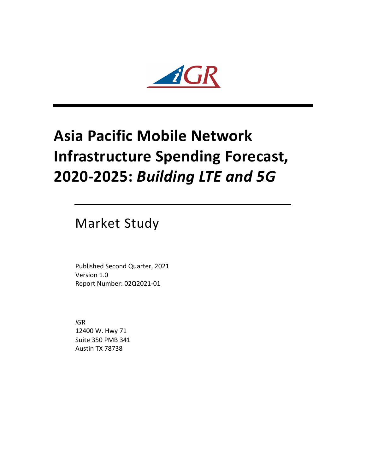

# **Asia Pacific Mobile Network Infrastructure Spending Forecast, 2020-2025:** *Building LTE and 5G*

**Market Study** 

Published Second Quarter, 2021 Version 1.0 Report Number: 02Q2021-01

*iG*R 12400 W. Hwy 71 Suite 350 PMB 341 Austin TX 78738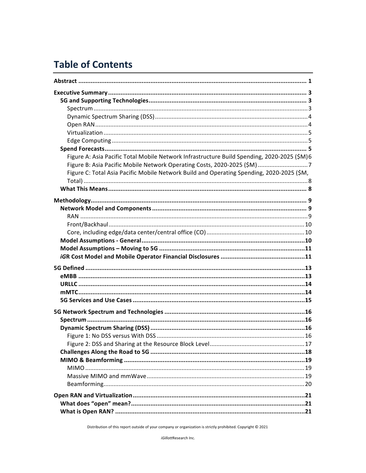## **Table of Contents**

| Figure A: Asia Pacific Total Mobile Network Infrastructure Build Spending, 2020-2025 (\$M)6 |
|---------------------------------------------------------------------------------------------|
| Figure B: Asia Pacific Mobile Network Operating Costs, 2020-2025 (\$M) 7                    |
| Figure C: Total Asia Pacific Mobile Network Build and Operating Spending, 2020-2025 (\$M,   |
|                                                                                             |
|                                                                                             |
|                                                                                             |
|                                                                                             |
|                                                                                             |
|                                                                                             |
|                                                                                             |
|                                                                                             |
|                                                                                             |
|                                                                                             |
|                                                                                             |
|                                                                                             |
|                                                                                             |
|                                                                                             |
|                                                                                             |
|                                                                                             |
|                                                                                             |
|                                                                                             |
|                                                                                             |
|                                                                                             |
|                                                                                             |
|                                                                                             |
|                                                                                             |
|                                                                                             |
|                                                                                             |
|                                                                                             |
|                                                                                             |
|                                                                                             |
|                                                                                             |

Distribution of this report outside of your company or organization is strictly prohibited. Copyright  $@$  2021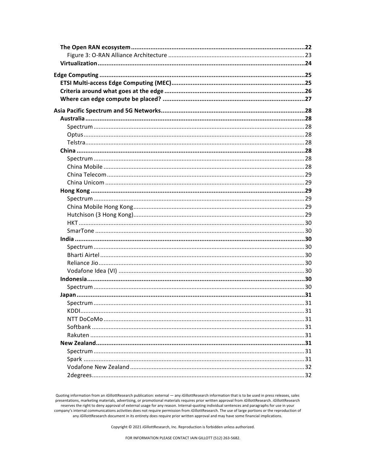Quoting information from an iGillottResearch publication: external - any iGillottResearch information that is to be used in press releases, sales presentations, marketing materials, advertising, or promotional materials requires prior written approval from iGillottResearch. iGillottResearch reserves the right to deny approval of external usage for any reason. Internal-quoting individual sentences and paragraphs for use in your company's internal communications activities does not require permission from iGillottResearch. The use of large portions or the reproduction of any iGillottResearch document in its entirety does require prior written approval and may have some financial implications.

Copyright © 2021 iGillottResearch, Inc. Reproduction is forbidden unless authorized.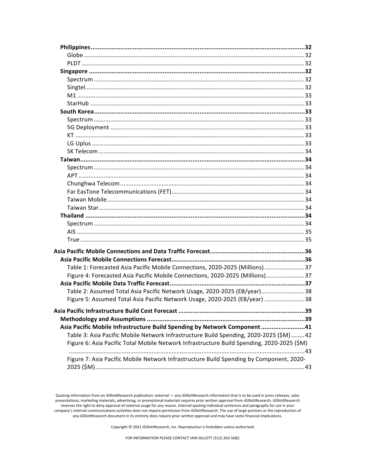| Table 1: Forecasted Asia Pacific Mobile Connections, 2020-2025 (Millions) 37               |     |
|--------------------------------------------------------------------------------------------|-----|
| Figure 4: Forecasted Asia Pacific Mobile Connections, 2020-2025 (Millions)37               |     |
|                                                                                            |     |
| Table 2: Assumed Total Asia Pacific Network Usage, 2020-2025 (EB/year)38                   |     |
| Figure 5: Assumed Total Asia Pacific Network Usage, 2020-2025 (EB/year) 38                 |     |
|                                                                                            |     |
|                                                                                            | .39 |
|                                                                                            |     |
| Asia Pacific Mobile Infrastructure Build Spending by Network Component41                   |     |
| Table 3: Asia Pacific Mobile Network Infrastructure Build Spending, 2020-2025 (\$M) 42     |     |
| Figure 6: Asia Pacific Total Mobile Network Infrastructure Build Spending, 2020-2025 (\$M) |     |
|                                                                                            |     |
| Figure 7: Asia Pacific Mobile Network Infrastructure Build Spending by Component, 2020-    |     |
|                                                                                            |     |

Copyright © 2021 iGillottResearch, Inc. Reproduction is forbidden unless authorized.

Quoting information from an iGillottResearch publication: external - any iGillottResearch information that is to be used in press releases, sales presentations, marketing materials, advertising, or promotional materials requires prior written approval from iGillottResearch. iGillottResearch reserves the right to deny approval of external usage for any reason. Internal-quoting individual sentences and paragraphs for use in your company's internal communications activities does not require permission from iGillottResearch. The use of large portions or the reproduction of any iGillottResearch document in its entirety does require prior written approval and may have some financial implications.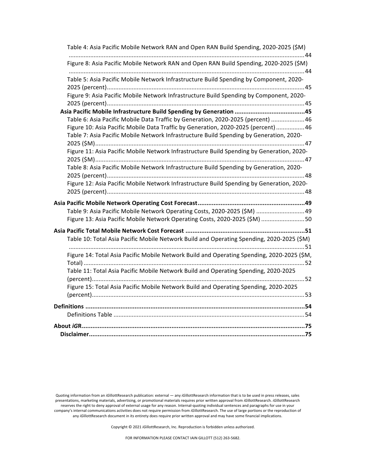| Table 4: Asia Pacific Mobile Network RAN and Open RAN Build Spending, 2020-2025 (\$M)                                                                                   |
|-------------------------------------------------------------------------------------------------------------------------------------------------------------------------|
| Figure 8: Asia Pacific Mobile Network RAN and Open RAN Build Spending, 2020-2025 (\$M)                                                                                  |
| Table 5: Asia Pacific Mobile Network Infrastructure Build Spending by Component, 2020-                                                                                  |
| Figure 9: Asia Pacific Mobile Network Infrastructure Build Spending by Component, 2020-                                                                                 |
|                                                                                                                                                                         |
| Table 6: Asia Pacific Mobile Data Traffic by Generation, 2020-2025 (percent) 46<br>Figure 10: Asia Pacific Mobile Data Traffic by Generation, 2020-2025 (percent) 46    |
| Table 7: Asia Pacific Mobile Network Infrastructure Build Spending by Generation, 2020-                                                                                 |
| Figure 11: Asia Pacific Mobile Network Infrastructure Build Spending by Generation, 2020-                                                                               |
| Table 8: Asia Pacific Mobile Network Infrastructure Build Spending by Generation, 2020-                                                                                 |
| Figure 12: Asia Pacific Mobile Network Infrastructure Build Spending by Generation, 2020-                                                                               |
|                                                                                                                                                                         |
| Table 9: Asia Pacific Mobile Network Operating Costs, 2020-2025 (\$M) 49                                                                                                |
| Figure 13: Asia Pacific Mobile Network Operating Costs, 2020-2025 (\$M) 50                                                                                              |
| Asia Pacific Total Mobile Network Cost Forecast ………………………………………………………………51<br>Table 10: Total Asia Pacific Mobile Network Build and Operating Spending, 2020-2025 (\$M) |
| Figure 14: Total Asia Pacific Mobile Network Build and Operating Spending, 2020-2025 (\$M,                                                                              |
| Table 11: Total Asia Pacific Mobile Network Build and Operating Spending, 2020-2025                                                                                     |
| Figure 15: Total Asia Pacific Mobile Network Build and Operating Spending, 2020-2025                                                                                    |
|                                                                                                                                                                         |
|                                                                                                                                                                         |
|                                                                                                                                                                         |
|                                                                                                                                                                         |

Copyright © 2021 *iG*illottResearch, Inc. Reproduction is forbidden unless authorized.

Quoting information from an *iG*illottResearch publication: external — any *iGillottResearch* information that is to be used in press releases, sales presentations, marketing materials, advertising, or promotional materials requires prior written approval from *iGillottResearch*. *iGillottResearch* reserves the right to deny approval of external usage for any reason. Internal-quoting individual sentences and paragraphs for use in your company's internal communications activities does not require permission from *iGillottResearch*. The use of large portions or the reproduction of company's internal communications activities does not require permission fr any *iGillottResearch document* in its entirety does require prior written approval and may have some financial implications.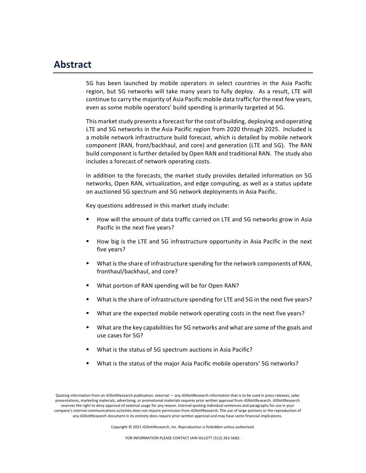#### **Abstract**

5G has been launched by mobile operators in select countries in the Asia Pacific region, but 5G networks will take many years to fully deploy. As a result, LTE will continue to carry the majority of Asia Pacific mobile data traffic for the next few years, even as some mobile operators' build spending is primarily targeted at 5G.

This market study presents a forecast for the cost of building, deploying and operating LTE and 5G networks in the Asia Pacific region from 2020 through 2025. Included is a mobile network infrastructure build forecast, which is detailed by mobile network component (RAN, front/backhaul, and core) and generation (LTE and 5G). The RAN build component is further detailed by Open RAN and traditional RAN. The study also includes a forecast of network operating costs.

In addition to the forecasts, the market study provides detailed information on 5G networks, Open RAN, virtualization, and edge computing, as well as a status update on auctioned 5G spectrum and 5G network deployments in Asia Pacific.

Key questions addressed in this market study include:

- How will the amount of data traffic carried on LTE and 5G networks grow in Asia Pacific in the next five years?
- How big is the LTE and 5G infrastructure opportunity in Asia Pacific in the next five years?
- What is the share of infrastructure spending for the network components of RAN, fronthaul/backhaul, and core?
- What portion of RAN spending will be for Open RAN?
- What is the share of infrastructure spending for LTE and 5G in the next five years?
- What are the expected mobile network operating costs in the next five years?
- What are the key capabilities for 5G networks and what are some of the goals and use cases for 5G?
- What is the status of 5G spectrum auctions in Asia Pacific?
- What is the status of the major Asia Pacific mobile operators' 5G networks?

Copyright © 2021 *iGillottResearch, Inc. Reproduction* is forbidden unless authorized.

Quoting information from an *iGillottResearch publication:* external — any *iGillottResearch* information that is to be used in press releases, sales presentations, marketing materials, advertising, or promotional materials requires prior written approval from *iGillottResearch. iGillottResearch* reserves the right to deny approval of external usage for any reason. Internal-quoting individual sentences and paragraphs for use in your company's internal communications activities does not require permission from *iGillottResearch*. The use of large portions or the reproduction of any *iGillottResearch document in its entirety does require prior written approval and may have some financial implications.*